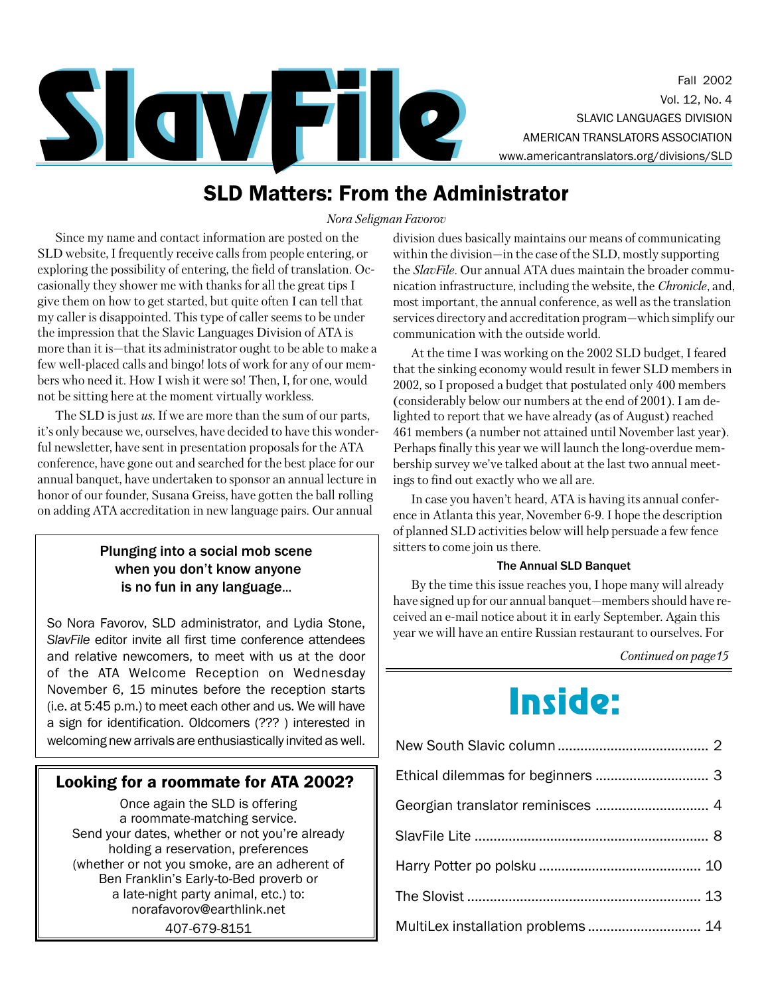

## **SLD Matters: From the Administrator**

Nora Seligman Favorov

Since my name and contact information are posted on the SLD website, I frequently receive calls from people entering, or exploring the possibility of entering, the field of translation. Occasionally they shower me with thanks for all the great tips I give them on how to get started, but quite often I can tell that my caller is disappointed. This type of caller seems to be under the impression that the Slavic Languages Division of ATA is more than it is—that its administrator ought to be able to make a few well-placed calls and bingo! lots of work for any of our members who need it. How I wish it were so! Then, I, for one, would not be sitting here at the moment virtually workless.

The SLD is just  $us$ . If we are more than the sum of our parts, it's only because we, ourselves, have decided to have this wonderful newsletter, have sent in presentation proposals for the ATA conference, have gone out and searched for the best place for our annual banquet, have undertaken to sponsor an annual lecture in honor of our founder, Susana Greiss, have gotten the ball rolling on adding ATA accreditation in new language pairs. Our annual

#### Plunging into a social mob scene when you don't know anyone is no fun in any language...

So Nora Favorov, SLD administrator, and Lydia Stone, SlavFile editor invite all first time conference attendees and relative newcomers, to meet with us at the door of the ATA Welcome Reception on Wednesday November 6, 15 minutes before the reception starts (i.e. at 5:45 p.m.) to meet each other and us. We will have a sign for identification. Oldcomers (???) interested in welcoming new arrivals are enthusiastically invited as well.

#### Looking for a roommate for ATA 2002?

Once again the SLD is offering a roommate-matching service. Send your dates, whether or not you're already holding a reservation, preferences (whether or not you smoke, are an adherent of Ben Franklin's Early-to-Bed proverb or a late-night party animal, etc.) to: norafavorov@earthlink.net 407-679-8151

division dues basically maintains our means of communicating within the division—in the case of the SLD, mostly supporting the *SlavFile*. Our annual ATA dues maintain the broader communication infrastructure, including the website, the *Chronicle*, and, most important, the annual conference, as well as the translation services directory and accreditation program—which simplify our communication with the outside world.

At the time I was working on the 2002 SLD budget, I feared that the sinking economy would result in fewer SLD members in 2002, so I proposed a budget that postulated only 400 members (considerably below our numbers at the end of 2001). I am delighted to report that we have already (as of August) reached 461 members (a number not attained until November last year). Perhaps finally this year we will launch the long-overdue membership survey we've talked about at the last two annual meetings to find out exactly who we all are.

In case you haven't heard, ATA is having its annual conference in Atlanta this year, November 6-9. I hope the description of planned SLD activities below will help persuade a few fence sitters to come join us there.

#### **The Annual SLD Banquet**

By the time this issue reaches you, I hope many will already have signed up for our annual banquet—members should have received an e-mail notice about it in early September. Again this year we will have an entire Russian restaurant to ourselves. For

Continued on page 15

# **Inside:**

| MultiLex installation problems  14 |  |
|------------------------------------|--|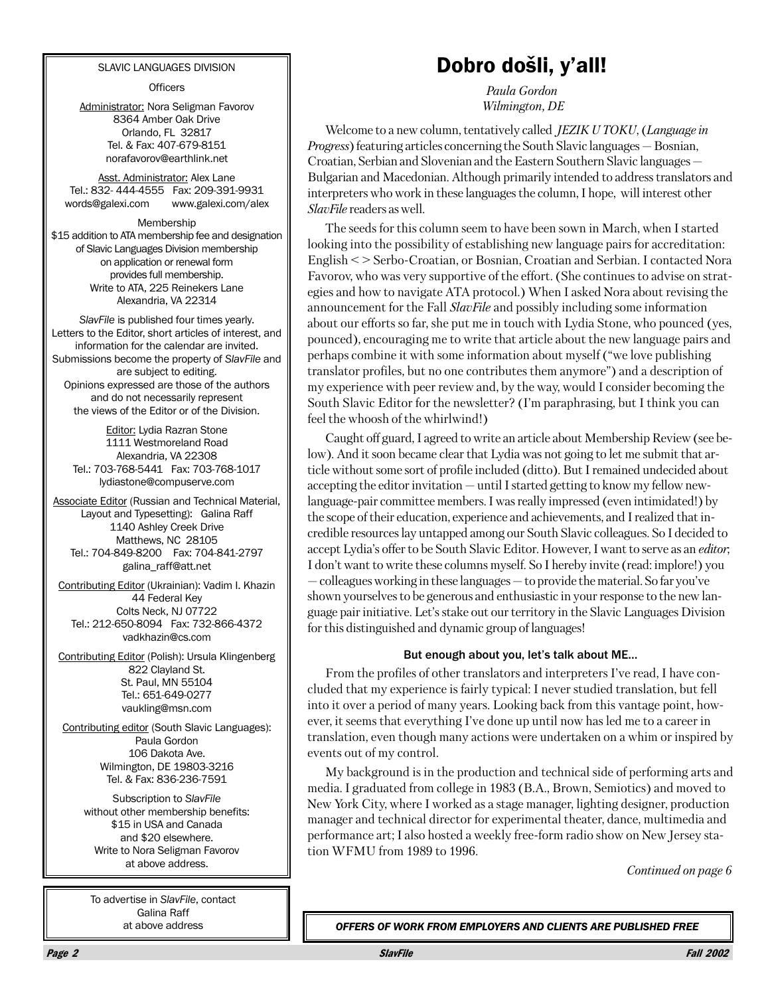#### SLAVIC LANGUAGES DIVISION

**Officers** 

Administrator: Nora Seligman Favorov 8364 Amber Oak Drive Orlando, FL 32817 Tel. & Fax: 407-679-8151 norafavorov@earthlink.net

Asst. Administrator: Alex Lane Tel.: 832-444-4555 Fax: 209-391-9931 words@galexi.com www.galexi.com/alex

Membership \$15 addition to ATA membership fee and designation of Slavic Languages Division membership on application or renewal form provides full membership. Write to ATA, 225 Reinekers Lane Alexandria, VA 22314

SlavFile is published four times yearly. Letters to the Editor, short articles of interest, and information for the calendar are invited. Submissions become the property of SlavFile and are subject to editing. Opinions expressed are those of the authors and do not necessarily represent the views of the Editor or of the Division.

Editor: Lydia Razran Stone 1111 Westmoreland Road Alexandria, VA 22308 Tel.: 703-768-5441 Fax: 703-768-1017 Ivdiastone@compuserve.com

**Associate Editor (Russian and Technical Material,** Layout and Typesetting): Galina Raff 1140 Ashley Creek Drive Matthews, NC 28105 Tel.: 704-849-8200 Fax: 704-841-2797 galina\_raff@att.net

Contributing Editor (Ukrainian): Vadim I. Khazin 44 Federal Kev Colts Neck, NJ 07722 Tel.: 212-650-8094 Fax: 732-866-4372 vadkhazin@cs.com

Contributing Editor (Polish): Ursula Klingenberg 822 Clayland St. St. Paul, MN 55104 Tel.: 651-649-0277 vaukling@msn.com

Contributing editor (South Slavic Languages): Paula Gordon 106 Dakota Ave. Wilmington, DE 19803-3216 Tel. & Fax: 836-236-7591

> Subscription to SlavFile without other membership benefits: \$15 in USA and Canada and \$20 elsewhere. Write to Nora Seligman Favorov at above address.

To advertise in SlavFile, contact Galina Raff at above address

## Dobro došli, y'all!

Paula Gordon Wilmington, DE

Welcome to a new column, tentatively called *JEZIK U TOKU*, (*Language in Progress*) featuring articles concerning the South Slavic languages – Bosnian, Croatian, Serbian and Slovenian and the Eastern Southern Slavic languages – Bulgarian and Macedonian. Although primarily intended to address translators and interpreters who work in these languages the column, I hope, will interest other *SlavFile* readers as well.

The seeds for this column seem to have been sown in March, when I started looking into the possibility of establishing new language pairs for accreditation: English <> Serbo-Croatian, or Bosnian, Croatian and Serbian. I contacted Nora Favorov, who was very supportive of the effort. (She continues to advise on strategies and how to navigate ATA protocol.) When I asked Nora about revising the announcement for the Fall *SlavFile* and possibly including some information about our efforts so far, she put me in touch with Lydia Stone, who pounced (yes, pounced), encouraging me to write that article about the new language pairs and perhaps combine it with some information about myself ("we love publishing" translator profiles, but no one contributes them anymore") and a description of my experience with peer review and, by the way, would I consider becoming the South Slavic Editor for the newsletter? (I'm paraphrasing, but I think you can feel the whoosh of the whirlwind!)

Caught off guard, I agreed to write an article about Membership Review (see below). And it soon became clear that Lydia was not going to let me submit that article without some sort of profile included (ditto). But I remained undecided about accepting the editor invitation — until I started getting to know my fellow newlanguage-pair committee members. I was really impressed (even intimidated!) by the scope of their education, experience and achievements, and I realized that incredible resources lay untapped among our South Slavic colleagues. So I decided to accept Lydia's offer to be South Slavic Editor. However, I want to serve as an editor; I don't want to write these columns myself. So I hereby invite (read: implore!) you  $-$  colleagues working in these languages  $-$  to provide the material. So far you've shown yourselves to be generous and enthusiastic in your response to the new language pair initiative. Let's stake out our territory in the Slavic Languages Division for this distinguished and dynamic group of languages!

#### But enough about you, let's talk about ME...

From the profiles of other translators and interpreters I've read, I have concluded that my experience is fairly typical: I never studied translation, but fell into it over a period of many years. Looking back from this vantage point, however, it seems that everything I've done up until now has led me to a career in translation, even though many actions were undertaken on a whim or inspired by events out of my control.

My background is in the production and technical side of performing arts and media. I graduated from college in 1983 (B.A., Brown, Semiotics) and moved to New York City, where I worked as a stage manager, lighting designer, production manager and technical director for experimental theater, dance, multimedia and performance art; I also hosted a weekly free-form radio show on New Jersey station WFMU from 1989 to 1996.

Continued on page 6

OFFERS OF WORK FROM EMPLOYERS AND CLIENTS ARE PUBLISHED FREE

**SlavFile**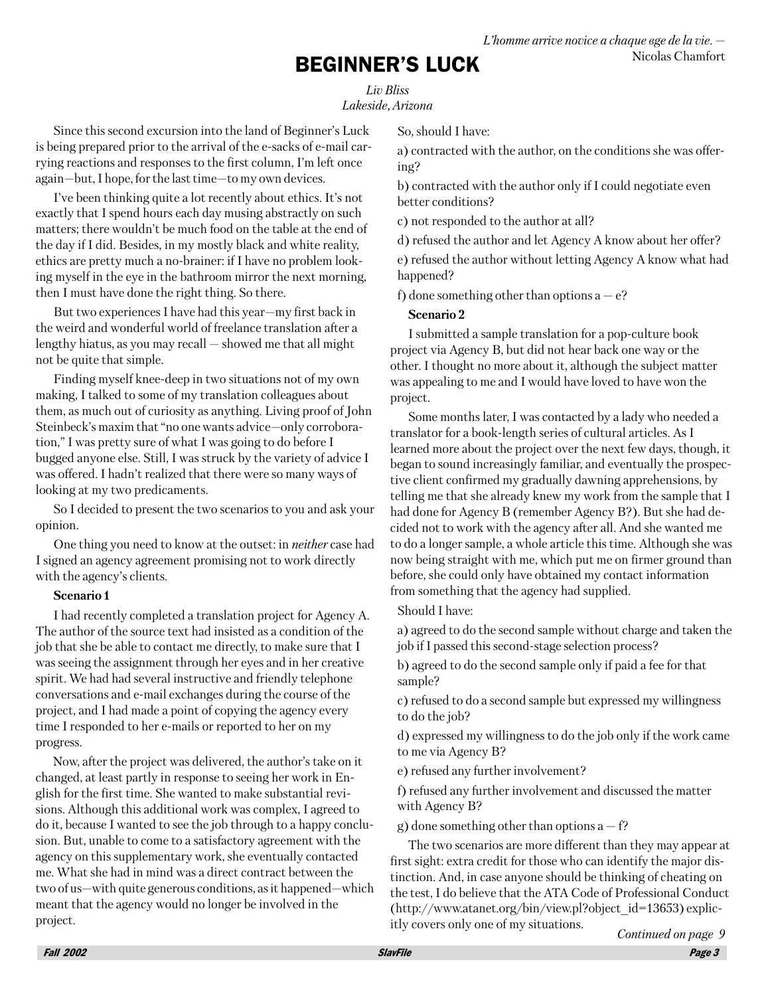## **BEGINNER'S LUCK**

**Liv Bliss** Lakeside, Arizona

Since this second excursion into the land of Beginner's Luck is being prepared prior to the arrival of the e-sacks of e-mail carrying reactions and responses to the first column, I'm left once again-but, I hope, for the last time-to my own devices.

I've been thinking quite a lot recently about ethics. It's not exactly that I spend hours each day musing abstractly on such matters; there wouldn't be much food on the table at the end of the day if I did. Besides, in my mostly black and white reality. ethics are pretty much a no-brainer: if I have no problem looking myself in the eye in the bathroom mirror the next morning, then I must have done the right thing. So there.

But two experiences I have had this year—my first back in the weird and wonderful world of freelance translation after a lengthy hiatus, as you may recall  $-$  showed me that all might not be quite that simple.

Finding myself knee-deep in two situations not of my own making, I talked to some of my translation colleagues about them, as much out of curiosity as anything. Living proof of John Steinbeck's maxim that "no one wants advice-only corroboration," I was pretty sure of what I was going to do before I bugged anyone else. Still, I was struck by the variety of advice I was offered. I hadn't realized that there were so many ways of looking at my two predicaments.

So I decided to present the two scenarios to you and ask your opinion.

One thing you need to know at the outset: in *neither* case had I signed an agency agreement promising not to work directly with the agency's clients.

#### Scenario 1

I had recently completed a translation project for Agency A. The author of the source text had insisted as a condition of the job that she be able to contact me directly, to make sure that I was seeing the assignment through her eyes and in her creative spirit. We had had several instructive and friendly telephone conversations and e-mail exchanges during the course of the project, and I had made a point of copying the agency every time I responded to her e-mails or reported to her on my progress.

Now, after the project was delivered, the author's take on it changed, at least partly in response to seeing her work in English for the first time. She wanted to make substantial revisions. Although this additional work was complex, I agreed to do it, because I wanted to see the job through to a happy conclusion. But, unable to come to a satisfactory agreement with the agency on this supplementary work, she eventually contacted me. What she had in mind was a direct contract between the two of us—with quite generous conditions, as it happened—which meant that the agency would no longer be involved in the project.

So, should I have:

a) contracted with the author, on the conditions she was offering?

b) contracted with the author only if I could negotiate even better conditions?

c) not responded to the author at all?

d) refused the author and let Agency A know about her offer? e) refused the author without letting Agency A know what had happened?

f) done something other than options  $a - e$ ?

#### Scenario 2

I submitted a sample translation for a pop-culture book project via Agency B, but did not hear back one way or the other. I thought no more about it, although the subject matter was appealing to me and I would have loved to have won the project.

Some months later, I was contacted by a lady who needed a translator for a book-length series of cultural articles. As I learned more about the project over the next few days, though, it began to sound increasingly familiar, and eventually the prospective client confirmed my gradually dawning apprehensions, by telling me that she already knew my work from the sample that I had done for Agency B (remember Agency B?). But she had decided not to work with the agency after all. And she wanted me to do a longer sample, a whole article this time. Although she was now being straight with me, which put me on firmer ground than before, she could only have obtained my contact information from something that the agency had supplied.

Should I have:

a) agreed to do the second sample without charge and taken the job if I passed this second-stage selection process?

b) agreed to do the second sample only if paid a fee for that sample?

c) refused to do a second sample but expressed my willingness to do the job?

d) expressed my willingness to do the job only if the work came to me via Agency B?

e) refused any further involvement?

f) refused any further involvement and discussed the matter with Agency B?

g) done something other than options  $a - f$ ?

The two scenarios are more different than they may appear at first sight: extra credit for those who can identify the major distinction. And, in case anyone should be thinking of cheating on the test, I do believe that the ATA Code of Professional Conduct  $(\text{http://www.atanet.org/bin/view.pl?object id=13653) explicit$ itly covers only one of my situations.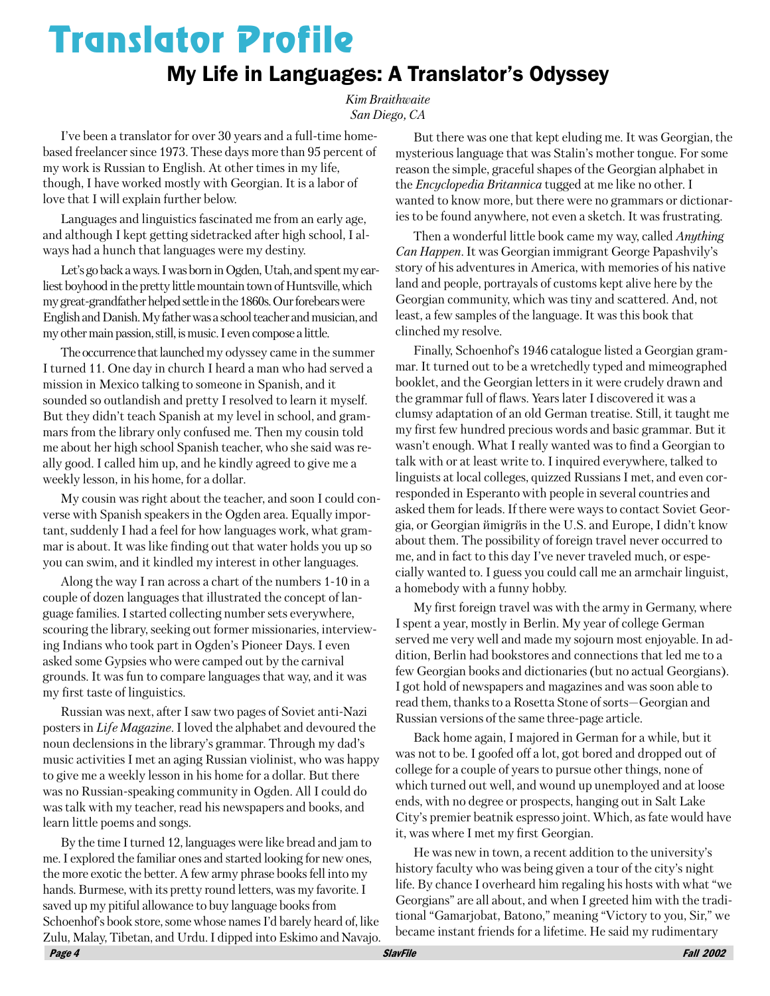# **Translator Profile**

### My Life in Languages: A Translator's Odyssey

Kim Braithwaite San Diego, CA

I've been a translator for over 30 years and a full-time homebased freelancer since 1973. These days more than 95 percent of my work is Russian to English. At other times in my life, though, I have worked mostly with Georgian. It is a labor of love that I will explain further below.

Languages and linguistics fascinated me from an early age, and although I kept getting sidetracked after high school, I always had a hunch that languages were my destiny.

Let's go back a ways. I was born in Ogden, Utah, and spent my earliest boyhood in the pretty little mountain town of Huntsville, which my great-grandfather helped settle in the 1860s. Our forebears were English and Danish. My father was a school teacher and musician, and my other main passion, still, is music. I even compose a little.

The occurrence that launched my odyssey came in the summer I turned 11. One day in church I heard a man who had served a mission in Mexico talking to someone in Spanish, and it sounded so outlandish and pretty I resolved to learn it myself. But they didn't teach Spanish at my level in school, and grammars from the library only confused me. Then my cousin told me about her high school Spanish teacher, who she said was really good. I called him up, and he kindly agreed to give me a weekly lesson, in his home, for a dollar.

My cousin was right about the teacher, and soon I could converse with Spanish speakers in the Ogden area. Equally important, suddenly I had a feel for how languages work, what grammar is about. It was like finding out that water holds you up so you can swim, and it kindled my interest in other languages.

Along the way I ran across a chart of the numbers 1-10 in a couple of dozen languages that illustrated the concept of language families. I started collecting number sets everywhere, scouring the library, seeking out former missionaries, interviewing Indians who took part in Ogden's Pioneer Days. I even asked some Gypsies who were camped out by the carnival grounds. It was fun to compare languages that way, and it was my first taste of linguistics.

Russian was next, after I saw two pages of Soviet anti-Nazi posters in *Life Magazine*. I loved the alphabet and devoured the noun declensions in the library's grammar. Through my dad's music activities I met an aging Russian violinist, who was happy to give me a weekly lesson in his home for a dollar. But there was no Russian-speaking community in Ogden. All I could do was talk with my teacher, read his newspapers and books, and learn little poems and songs.

By the time I turned 12, languages were like bread and jam to me. I explored the familiar ones and started looking for new ones, the more exotic the better. A few army phrase books fell into my hands. Burmese, with its pretty round letters, was my favorite. I saved up my pitiful allowance to buy language books from Schoenhof's book store, some whose names I'd barely heard of, like Zulu, Malay, Tibetan, and Urdu. I dipped into Eskimo and Navajo.

But there was one that kept eluding me. It was Georgian, the mysterious language that was Stalin's mother tongue. For some reason the simple, graceful shapes of the Georgian alphabet in the *Encyclopedia Britannica* tugged at me like no other. I wanted to know more, but there were no grammars or dictionaries to be found anywhere, not even a sketch. It was frustrating.

Then a wonderful little book came my way, called *Anything Can Happen.* It was Georgian immigrant George Papashvily's story of his adventures in America, with memories of his native land and people, portrayals of customs kept alive here by the Georgian community, which was tiny and scattered. And, not least, a few samples of the language. It was this book that clinched my resolve.

Finally, Schoenhof's 1946 catalogue listed a Georgian grammar. It turned out to be a wretchedly typed and mimeographed booklet, and the Georgian letters in it were crudely drawn and the grammar full of flaws. Years later I discovered it was a clumsy adaptation of an old German treatise. Still, it taught me my first few hundred precious words and basic grammar. But it wasn't enough. What I really wanted was to find a Georgian to talk with or at least write to. I inquired everywhere, talked to linguists at local colleges, quizzed Russians I met, and even corresponded in Esperanto with people in several countries and asked them for leads. If there were ways to contact Soviet Georgia, or Georgian ŭmigrŭs in the U.S. and Europe, I didn't know about them. The possibility of foreign travel never occurred to me, and in fact to this day I've never traveled much, or especially wanted to. I guess you could call me an armchair linguist, a homebody with a funny hobby.

My first foreign travel was with the army in Germany, where I spent a year, mostly in Berlin. My year of college German served me very well and made my sojourn most enjoyable. In addition, Berlin had bookstores and connections that led me to a few Georgian books and dictionaries (but no actual Georgians). I got hold of newspapers and magazines and was soon able to read them, thanks to a Rosetta Stone of sorts—Georgian and Russian versions of the same three-page article.

Back home again, I majored in German for a while, but it was not to be. I goofed off a lot, got bored and dropped out of college for a couple of years to pursue other things, none of which turned out well, and wound up unemployed and at loose ends, with no degree or prospects, hanging out in Salt Lake City's premier beatnik espresso joint. Which, as fate would have it, was where I met my first Georgian.

He was new in town, a recent addition to the university's history faculty who was being given a tour of the city's night life. By chance I overheard him regaling his hosts with what "we Georgians" are all about, and when I greeted him with the traditional "Gamarjobat, Batono," meaning "Victory to you, Sir," we became instant friends for a lifetime. He said my rudimentary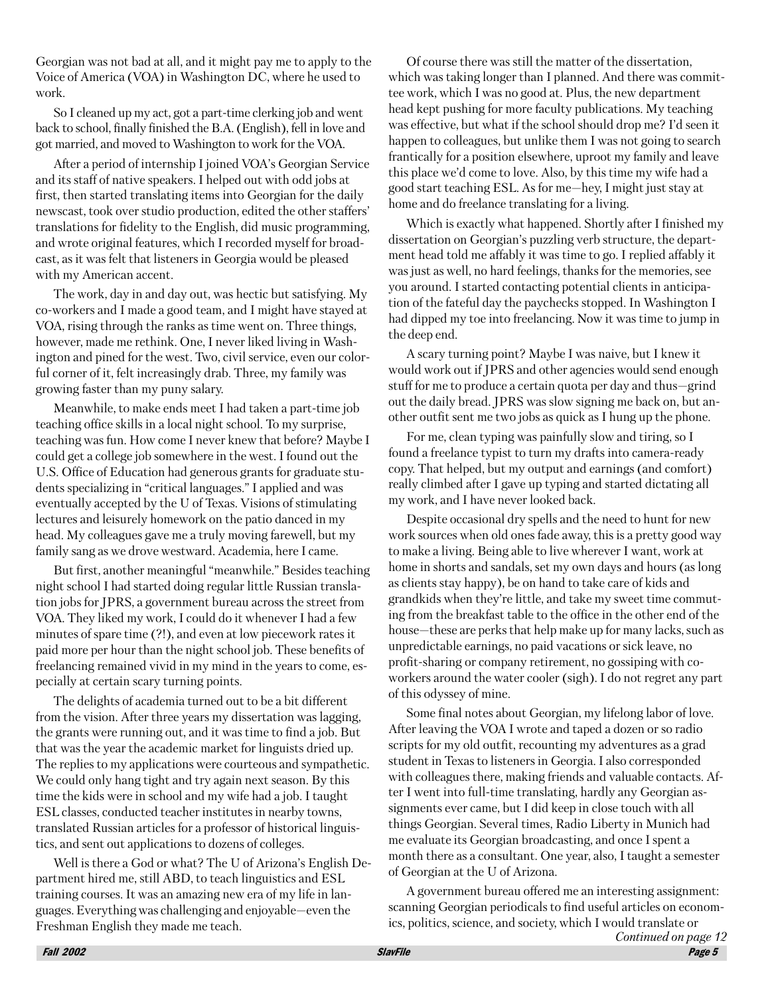Georgian was not bad at all, and it might pay me to apply to the Voice of America (VOA) in Washington DC, where he used to work.

So I cleaned up my act, got a part-time clerking job and went back to school, finally finished the B.A. (English), fell in love and got married, and moved to Washington to work for the VOA.

After a period of internship I joined VOA's Georgian Service and its staff of native speakers. I helped out with odd jobs at first, then started translating items into Georgian for the daily newscast, took over studio production, edited the other staffers' translations for fidelity to the English, did music programming, and wrote original features, which I recorded myself for broadcast, as it was felt that listeners in Georgia would be pleased with my American accent.

The work, day in and day out, was hectic but satisfying. My co-workers and I made a good team, and I might have stayed at VOA, rising through the ranks as time went on. Three things, however, made me rethink, One, I never liked living in Washington and pined for the west. Two, civil service, even our colorful corner of it, felt increasingly drab. Three, my family was growing faster than my puny salary.

Meanwhile, to make ends meet I had taken a part-time job teaching office skills in a local night school. To my surprise, teaching was fun. How come I never knew that before? Maybe I could get a college job somewhere in the west. I found out the U.S. Office of Education had generous grants for graduate students specializing in "critical languages." I applied and was eventually accepted by the U of Texas. Visions of stimulating lectures and leisurely homework on the patio danced in my head. My colleagues gave me a truly moving farewell, but my family sang as we drove westward. Academia, here I came.

But first, another meaningful "meanwhile." Besides teaching night school I had started doing regular little Russian translation jobs for JPRS, a government bureau across the street from VOA. They liked my work, I could do it whenever I had a few minutes of spare time (?!), and even at low piecework rates it paid more per hour than the night school job. These benefits of freelancing remained vivid in my mind in the years to come, especially at certain scary turning points.

The delights of academia turned out to be a bit different from the vision. After three years my dissertation was lagging, the grants were running out, and it was time to find a job. But that was the year the academic market for linguists dried up. The replies to my applications were courteous and sympathetic. We could only hang tight and try again next season. By this time the kids were in school and my wife had a job. I taught ESL classes, conducted teacher institutes in nearby towns, translated Russian articles for a professor of historical linguistics, and sent out applications to dozens of colleges.

Well is there a God or what? The U of Arizona's English Department hired me, still ABD, to teach linguistics and ESL training courses. It was an amazing new era of my life in languages. Everything was challenging and enjoyable—even the Freshman English they made me teach.

Of course there was still the matter of the dissertation, which was taking longer than I planned. And there was committee work, which I was no good at. Plus, the new department head kept pushing for more faculty publications. My teaching was effective, but what if the school should drop me? I'd seen it happen to colleagues, but unlike them I was not going to search frantically for a position elsewhere, uproot my family and leave this place we'd come to love. Also, by this time my wife had a good start teaching ESL. As for me—hey, I might just stay at home and do freelance translating for a living.

Which is exactly what happened. Shortly after I finished my dissertation on Georgian's puzzling verb structure, the department head told me affably it was time to go. I replied affably it was just as well, no hard feelings, thanks for the memories, see you around. I started contacting potential clients in anticipation of the fateful day the paychecks stopped. In Washington I had dipped my toe into freelancing. Now it was time to jump in the deep end.

A scary turning point? Maybe I was naive, but I knew it would work out if JPRS and other agencies would send enough stuff for me to produce a certain quota per day and thus—grind out the daily bread. JPRS was slow signing me back on, but another outfit sent me two jobs as quick as I hung up the phone.

For me, clean typing was painfully slow and tiring, so I found a freelance typist to turn my drafts into camera-ready copy. That helped, but my output and earnings (and comfort) really climbed after I gave up typing and started dictating all my work, and I have never looked back.

Despite occasional dry spells and the need to hunt for new work sources when old ones fade away, this is a pretty good way to make a living. Being able to live wherever I want, work at home in shorts and sandals, set my own days and hours (as long as clients stay happy), be on hand to take care of kids and grandkids when they're little, and take my sweet time commuting from the breakfast table to the office in the other end of the house—these are perks that help make up for many lacks, such as unpredictable earnings, no paid vacations or sick leave, no profit-sharing or company retirement, no gossiping with coworkers around the water cooler (sigh). I do not regret any part of this odyssey of mine.

Some final notes about Georgian, my lifelong labor of love. After leaving the VOA I wrote and taped a dozen or so radio scripts for my old outfit, recounting my adventures as a grad student in Texas to listeners in Georgia. I also corresponded with colleagues there, making friends and valuable contacts. After I went into full-time translating, hardly any Georgian assignments ever came, but I did keep in close touch with all things Georgian. Several times, Radio Liberty in Munich had me evaluate its Georgian broadcasting, and once I spent a month there as a consultant. One year, also, I taught a semester of Georgian at the U of Arizona.

A government bureau offered me an interesting assignment: scanning Georgian periodicals to find useful articles on economics, politics, science, and society, which I would translate or Continued on page 12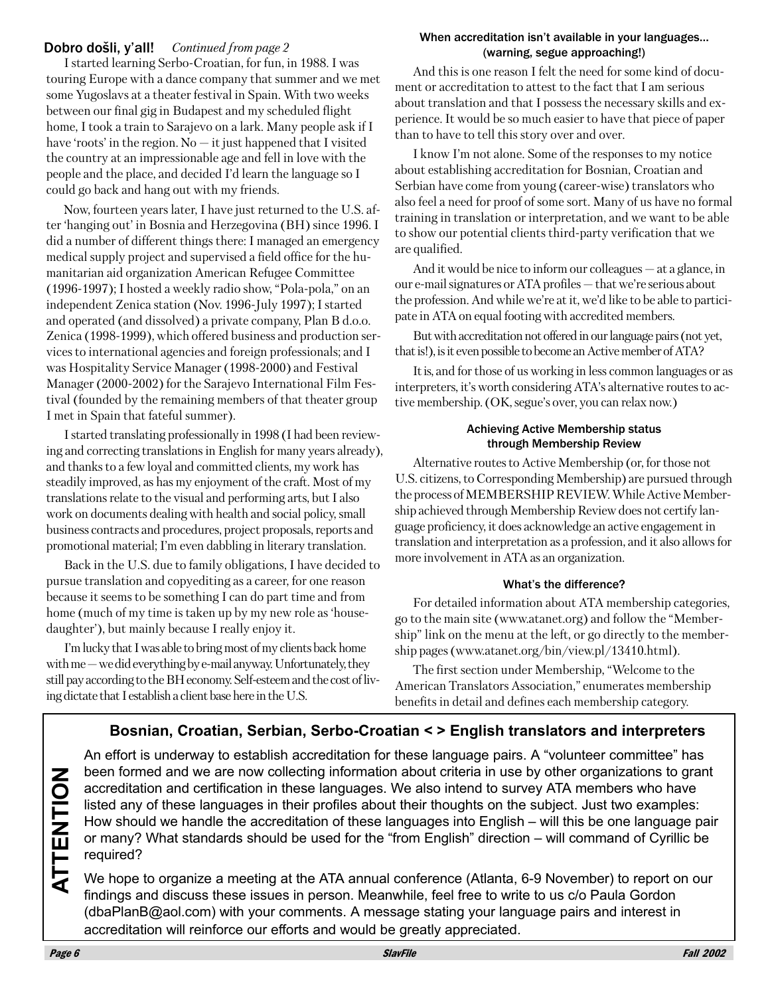#### Dobro došli, y'all! Continued from page 2

I started learning Serbo-Croatian, for fun, in 1988. I was touring Europe with a dance company that summer and we met some Yugoslavs at a theater festival in Spain. With two weeks between our final gig in Budapest and my scheduled flight home, I took a train to Sarajevo on a lark. Many people ask if I have 'roots' in the region. No  $-$  it just happened that I visited the country at an impressionable age and fell in love with the people and the place, and decided I'd learn the language so I could go back and hang out with my friends.

Now, fourteen years later, I have just returned to the U.S. after 'hanging out' in Bosnia and Herzegovina (BH) since 1996. I did a number of different things there: I managed an emergency medical supply project and supervised a field office for the humanitarian aid organization American Refugee Committee (1996-1997); I hosted a weekly radio show, "Pola-pola," on an independent Zenica station (Nov. 1996-July 1997); I started and operated (and dissolved) a private company, Plan B d.o.o. Zenica (1998-1999), which offered business and production services to international agencies and foreign professionals; and I was Hospitality Service Manager (1998-2000) and Festival Manager (2000-2002) for the Sarajevo International Film Festival (founded by the remaining members of that theater group I met in Spain that fateful summer).

I started translating professionally in 1998 (I had been reviewing and correcting translations in English for many years already), and thanks to a few loyal and committed clients, my work has steadily improved, as has my enjoyment of the craft. Most of my translations relate to the visual and performing arts, but I also work on documents dealing with health and social policy, small business contracts and procedures, project proposals, reports and promotional material; I'm even dabbling in literary translation.

Back in the U.S. due to family obligations, I have decided to pursue translation and copyediting as a career, for one reason because it seems to be something I can do part time and from home (much of my time is taken up by my new role as 'housedaughter'), but mainly because I really enjoy it.

I'm lucky that I was able to bring most of my clients back home with me  $-$  we did everything by e-mail anyway. Unfortunately, they still pay according to the BH economy. Self-esteem and the cost of living dictate that I establish a client base here in the U.S.

#### When accreditation isn't available in your languages... (warning, segue approaching!)

And this is one reason I felt the need for some kind of document or accreditation to attest to the fact that I am serious about translation and that I possess the necessary skills and experience. It would be so much easier to have that piece of paper than to have to tell this story over and over.

I know I'm not alone. Some of the responses to my notice about establishing accreditation for Bosnian, Croatian and Serbian have come from young (career-wise) translators who also feel a need for proof of some sort. Many of us have no formal training in translation or interpretation, and we want to be able to show our potential clients third-party verification that we are qualified.

And it would be nice to inform our colleagues  $-$  at a glance, in our e-mail signatures or ATA profiles — that we're serious about the profession. And while we're at it, we'd like to be able to participate in ATA on equal footing with accredited members.

But with accreditation not offered in our language pairs (not yet, that is!), is it even possible to become an Active member of ATA?

It is, and for those of us working in less common languages or as interpreters, it's worth considering ATA's alternative routes to active membership. (OK, segue's over, you can relax now.)

#### **Achieving Active Membership status** through Membership Review

Alternative routes to Active Membership (or, for those not U.S. citizens, to Corresponding Membership) are pursued through the process of MEMBERSHIP REVIEW. While Active Membership achieved through Membership Review does not certify language proficiency, it does acknowledge an active engagement in translation and interpretation as a profession, and it also allows for more involvement in ATA as an organization.

#### What's the difference?

For detailed information about ATA membership categories, go to the main site (www.atanet.org) and follow the "Membership" link on the menu at the left, or go directly to the membership pages (www.atanet.org/bin/view.pl/13410.html).

The first section under Membership, "Welcome to the American Translators Association," enumerates membership benefits in detail and defines each membership category.

### Bosnian, Croatian, Serbian, Serbo-Croatian <> English translators and interpreters

An effort is underway to establish accreditation for these language pairs. A "volunteer committee" has been formed and we are now collecting information about criteria in use by other organizations to grant accreditation and certification in these languages. We also intend to survey ATA members who have listed any of these languages in their profiles about their thoughts on the subject. Just two examples: How should we handle the accreditation of these languages into English – will this be one language pair or many? What standards should be used for the "from English" direction – will command of Cyrillic be required?

We hope to organize a meeting at the ATA annual conference (Atlanta, 6-9 November) to report on our findings and discuss these issues in person. Meanwhile, feel free to write to us c/o Paula Gordon (dbaPlanB@aol.com) with your comments. A message stating your language pairs and interest in accreditation will reinforce our efforts and would be greatly appreciated.

Page 6

**ATTENTION**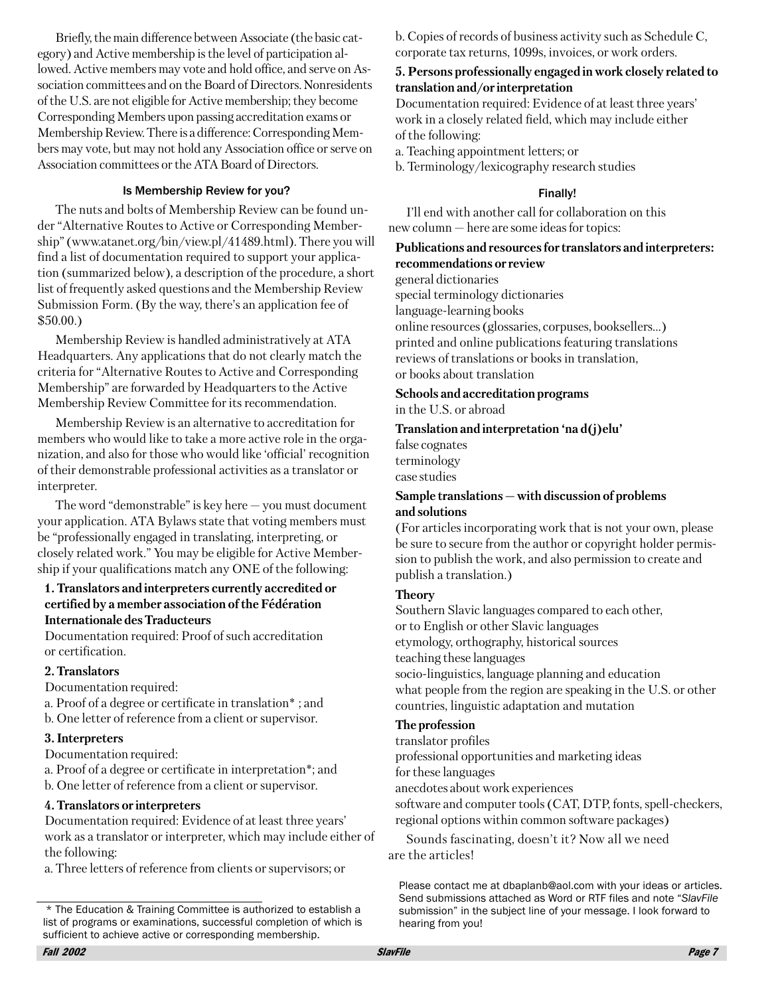Briefly, the main difference between Associate (the basic category) and Active membership is the level of participation allowed. Active members may vote and hold office, and serve on Association committees and on the Board of Directors. Nonresidents of the U.S. are not eligible for Active membership; they become Corresponding Members upon passing accreditation exams or Membership Review. There is a difference: Corresponding Members may vote, but may not hold any Association office or serve on Association committees or the ATA Board of Directors.

#### Is Membership Review for you?

The nuts and bolts of Membership Review can be found under "Alternative Routes to Active or Corresponding Membership" (www.atanet.org/bin/view.pl/41489.html). There you will find a list of documentation required to support your application (summarized below), a description of the procedure, a short list of frequently asked questions and the Membership Review Submission Form. (By the way, there's an application fee of  $$50.00.$ 

Membership Review is handled administratively at ATA Headquarters. Any applications that do not clearly match the criteria for "Alternative Routes to Active and Corresponding Membership" are forwarded by Headquarters to the Active Membership Review Committee for its recommendation.

Membership Review is an alternative to accreditation for members who would like to take a more active role in the organization, and also for those who would like 'official' recognition of their demonstrable professional activities as a translator or interpreter.

The word "demonstrable" is key here  $-$  you must document your application. ATA Bylaws state that voting members must be "professionally engaged in translating, interpreting, or closely related work." You may be eligible for Active Membership if your qualifications match any ONE of the following:

#### 1. Translators and interpreters currently accredited or certified by a member association of the Fédération **Internationale des Traducteurs**

Documentation required: Proof of such accreditation or certification.

#### 2. Translators

Documentation required:

a. Proof of a degree or certificate in translation<sup>\*</sup>; and

b. One letter of reference from a client or supervisor.

#### 3. Interpreters

Documentation required:

a. Proof of a degree or certificate in interpretation\*; and

b. One letter of reference from a client or supervisor.

#### 4. Translators or interpreters

Documentation required: Evidence of at least three years' work as a translator or interpreter, which may include either of the following:

a. Three letters of reference from clients or supervisors; or

b. Copies of records of business activity such as Schedule C, corporate tax returns, 1099s, invoices, or work orders.

#### 5. Persons professionally engaged in work closely related to translation and/or interpretation

Documentation required: Evidence of at least three years' work in a closely related field, which may include either of the following:

a. Teaching appointment letters; or

b. Terminology/lexicography research studies

#### Finally!

I'll end with another call for collaboration on this new column - here are some ideas for topics:

#### Publications and resources for translators and interpreters: recommendations or review

general dictionaries special terminology dictionaries language-learning books online resources (glossaries, corpuses, booksellers...) printed and online publications featuring translations reviews of translations or books in translation, or books about translation

### Schools and accreditation programs

in the U.S. or abroad

#### Translation and interpretation 'na d(j)elu'

false cognates terminology case studies

#### Sample translations - with discussion of problems and solutions

(For articles incorporating work that is not your own, please) be sure to secure from the author or copyright holder permission to publish the work, and also permission to create and publish a translation.)

#### **Theory**

Southern Slavic languages compared to each other. or to English or other Slavic languages etymology, orthography, historical sources teaching these languages socio-linguistics, language planning and education what people from the region are speaking in the U.S. or other countries, linguistic adaptation and mutation

#### The profession

translator profiles

professional opportunities and marketing ideas

for these languages

anecdotes about work experiences

software and computer tools (CAT, DTP, fonts, spell-checkers, regional options within common software packages)

Sounds fascinating, doesn't it? Now all we need are the articles!

Please contact me at dbaplanb@aol.com with your ideas or articles. Send submissions attached as Word or RTF files and note "SlavFile submission" in the subject line of your message. I look forward to hearing from you!

<sup>\*</sup> The Education & Training Committee is authorized to establish a list of programs or examinations, successful completion of which is sufficient to achieve active or corresponding membership.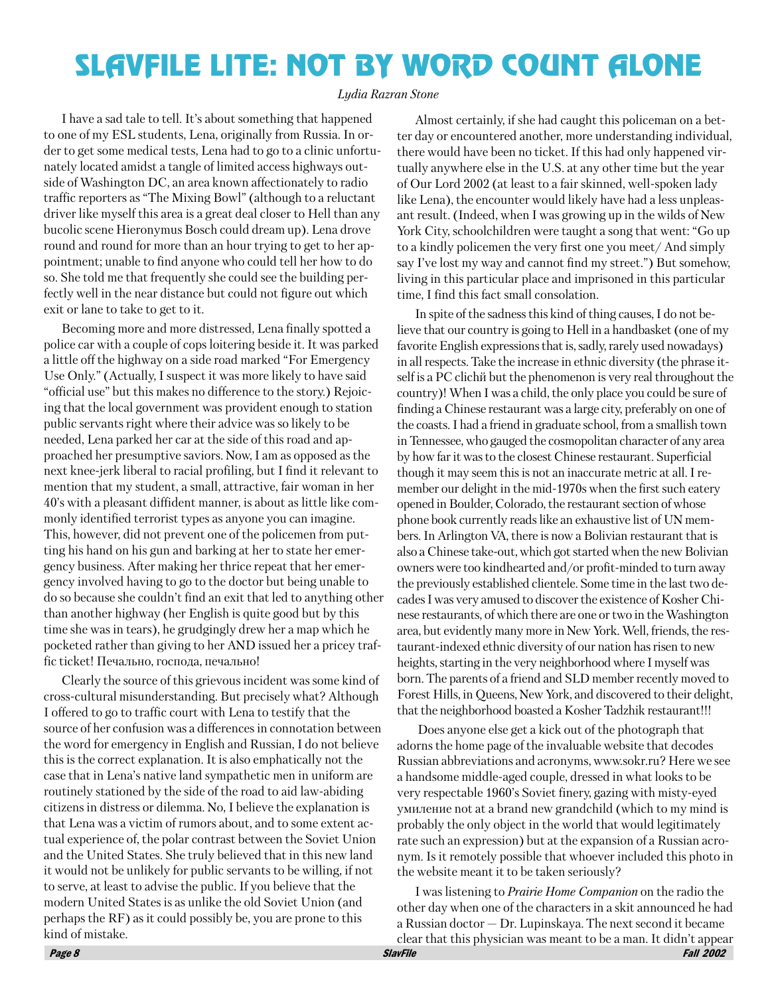## **SLAVFILE LITE: NOT BY WORD COUNT ALONE**

#### Ludia Razran Stone

I have a sad tale to tell. It's about something that happened to one of my ESL students, Lena, originally from Russia. In order to get some medical tests, Lena had to go to a clinic unfortunately located amidst a tangle of limited access highways outside of Washington DC, an area known affectionately to radio traffic reporters as "The Mixing Bowl" (although to a reluctant driver like myself this area is a great deal closer to Hell than any bucolic scene Hieronymus Bosch could dream up). Lena drove round and round for more than an hour trying to get to her appointment; unable to find anyone who could tell her how to do so. She told me that frequently she could see the building perfectly well in the near distance but could not figure out which exit or lane to take to get to it.

Becoming more and more distressed, Lena finally spotted a police car with a couple of cops loitering beside it. It was parked a little off the highway on a side road marked "For Emergency Use Only." (Actually, I suspect it was more likely to have said "official use" but this makes no difference to the story.) Rejoicing that the local government was provident enough to station public servants right where their advice was so likely to be needed, Lena parked her car at the side of this road and approached her presumptive saviors. Now, I am as opposed as the next knee-jerk liberal to racial profiling, but I find it relevant to mention that my student, a small, attractive, fair woman in her 40's with a pleasant diffident manner, is about as little like commonly identified terrorist types as anyone you can imagine. This, however, did not prevent one of the policemen from putting his hand on his gun and barking at her to state her emergency business. After making her thrice repeat that her emergency involved having to go to the doctor but being unable to do so because she couldn't find an exit that led to anything other than another highway (her English is quite good but by this time she was in tears), he grudgingly drew her a map which he pocketed rather than giving to her AND issued her a pricey traffic ticket! Печально, господа, печально!

Clearly the source of this grievous incident was some kind of cross-cultural misunderstanding. But precisely what? Although I offered to go to traffic court with Lena to testify that the source of her confusion was a differences in connotation between the word for emergency in English and Russian, I do not believe this is the correct explanation. It is also emphatically not the case that in Lena's native land sympathetic men in uniform are routinely stationed by the side of the road to aid law-abiding citizens in distress or dilemma. No, I believe the explanation is that Lena was a victim of rumors about, and to some extent actual experience of, the polar contrast between the Soviet Union and the United States. She truly believed that in this new land it would not be unlikely for public servants to be willing, if not to serve, at least to advise the public. If you believe that the modern United States is as unlike the old Soviet Union (and perhaps the RF) as it could possibly be, you are prone to this kind of mistake.

Almost certainly, if she had caught this policeman on a better day or encountered another, more understanding individual, there would have been no ticket. If this had only happened virtually anywhere else in the U.S. at any other time but the year of Our Lord 2002 (at least to a fair skinned, well-spoken lady like Lena), the encounter would likely have had a less unpleasant result. (Indeed, when I was growing up in the wilds of New York City, schoolchildren were taught a song that went: "Go up to a kindly policemen the very first one you meet/ And simply say I've lost my way and cannot find my street.") But somehow, living in this particular place and imprisoned in this particular time, I find this fact small consolation.

In spite of the sadness this kind of thing causes, I do not believe that our country is going to Hell in a handbasket (one of my favorite English expressions that is, sadly, rarely used nowadays) in all respects. Take the increase in ethnic diversity (the phrase itself is a PC clich is but the phenomenon is very real throughout the country)! When I was a child, the only place you could be sure of finding a Chinese restaurant was a large city, preferably on one of the coasts. I had a friend in graduate school, from a smallish town in Tennessee, who gauged the cosmopolitan character of any area by how far it was to the closest Chinese restaurant. Superficial though it may seem this is not an inaccurate metric at all. I remember our delight in the mid-1970s when the first such eatery opened in Boulder, Colorado, the restaurant section of whose phone book currently reads like an exhaustive list of UN members. In Arlington VA, there is now a Bolivian restaurant that is also a Chinese take-out, which got started when the new Bolivian owners were too kindhearted and/or profit-minded to turn away the previously established clientele. Some time in the last two decades I was very amused to discover the existence of Kosher Chinese restaurants, of which there are one or two in the Washington area, but evidently many more in New York. Well, friends, the restaurant-indexed ethnic diversity of our nation has risen to new heights, starting in the very neighborhood where I myself was born. The parents of a friend and SLD member recently moved to Forest Hills, in Queens, New York, and discovered to their delight, that the neighborhood boasted a Kosher Tadzhik restaurant!!!

Does anyone else get a kick out of the photograph that adorns the home page of the invaluable website that decodes Russian abbreviations and acronyms, www.sokr.ru? Here we see a handsome middle-aged couple, dressed in what looks to be very respectable 1960's Soviet finery, gazing with misty-eved умиление not at a brand new grandchild (which to my mind is probably the only object in the world that would legitimately rate such an expression) but at the expansion of a Russian acronym. Is it remotely possible that whoever included this photo in the website meant it to be taken seriously?

I was listening to Prairie Home Companion on the radio the other day when one of the characters in a skit announced he had a Russian doctor  $-$  Dr. Lupinskaya. The next second it became clear that this physician was meant to be a man. It didn't appear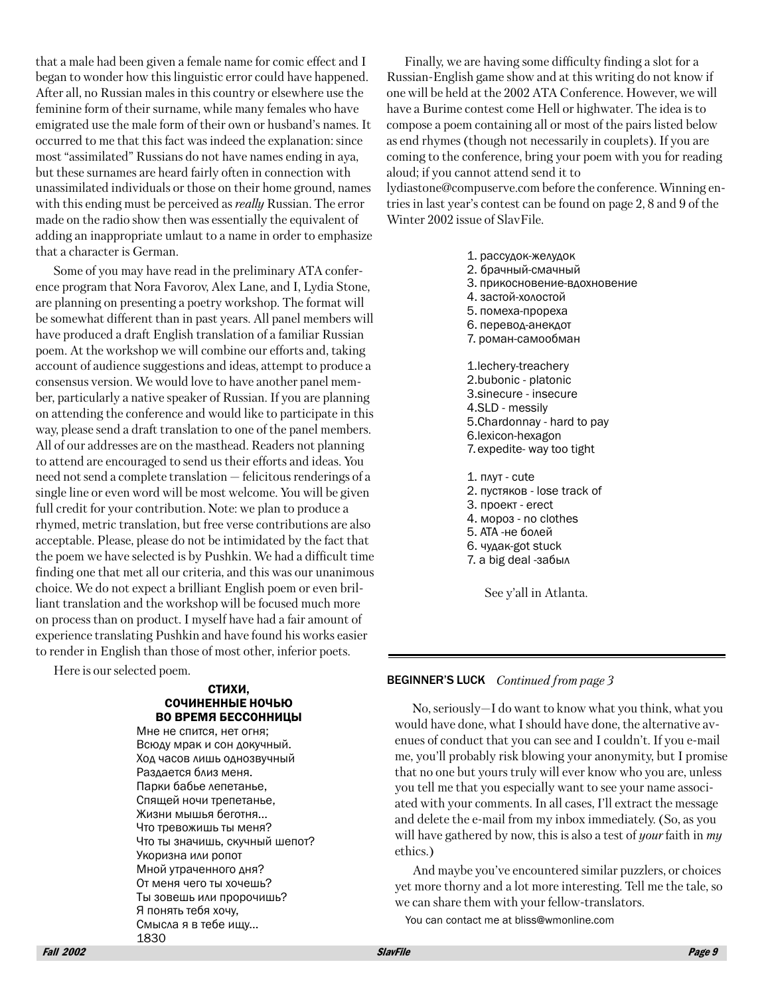that a male had been given a female name for comic effect and I began to wonder how this linguistic error could have happened. After all, no Russian males in this country or elsewhere use the feminine form of their surname, while many females who have emigrated use the male form of their own or husband's names. It occurred to me that this fact was indeed the explanation: since most "assimilated" Russians do not have names ending in aya, but these surnames are heard fairly often in connection with unassimilated individuals or those on their home ground, names with this ending must be perceived as *really* Russian. The error made on the radio show then was essentially the equivalent of adding an inappropriate umlaut to a name in order to emphasize that a character is German.

Some of you may have read in the preliminary ATA conference program that Nora Favorov, Alex Lane, and I, Lydia Stone, are planning on presenting a poetry workshop. The format will be somewhat different than in past years. All panel members will have produced a draft English translation of a familiar Russian poem. At the workshop we will combine our efforts and, taking account of audience suggestions and ideas, attempt to produce a consensus version. We would love to have another panel member, particularly a native speaker of Russian. If you are planning on attending the conference and would like to participate in this way, please send a draft translation to one of the panel members. All of our addresses are on the masthead. Readers not planning to attend are encouraged to send us their efforts and ideas. You need not send a complete translation – felicitous renderings of a single line or even word will be most welcome. You will be given full credit for your contribution. Note: we plan to produce a rhymed, metric translation, but free verse contributions are also acceptable. Please, please do not be intimidated by the fact that the poem we have selected is by Pushkin. We had a difficult time finding one that met all our criteria, and this was our unanimous choice. We do not expect a brilliant English poem or even brilliant translation and the workshop will be focused much more on process than on product. I myself have had a fair amount of experience translating Pushkin and have found his works easier to render in English than those of most other, inferior poets.

Here is our selected poem.

#### СТИХИ, СОЧИНЕННЫЕ НОЧЬЮ ВО ВРЕМЯ БЕССОННИЦЫ

Мне не спится, нет огня; Всюду мрак и сон докучный. Ход часов лишь однозвучный Раздается близ меня. Парки бабье лепетанье, Спящей ночи трепетанье, Жизни мышья беготня... Что тревожишь ты меня? Что ты значишь, скучный шепот? Укоризна или ропот Мной утраченного дня? От меня чего ты хочешь? Ты зовешь или пророчишь? Я понять тебя хочу, Смысла я в тебе ищу... 1830

Finally, we are having some difficulty finding a slot for a Russian-English game show and at this writing do not know if one will be held at the 2002 ATA Conference. However, we will have a Burime contest come Hell or highwater. The idea is to compose a poem containing all or most of the pairs listed below as end rhymes (though not necessarily in couplets). If you are coming to the conference, bring your poem with you for reading aloud; if you cannot attend send it to lydiastone@compuserve.com before the conference. Winning en-

tries in last year's contest can be found on page 2, 8 and 9 of the Winter 2002 issue of SlavFile.

- 1. рассудок-желудок 2. брачный-смачный 3. прикосновение-вдохновение 4. застой-холостой 5. помеха-прореха 6. перевод-анекдот 7. роман-самообман 1.lechery-treachery 2.bubonic - platonic 3.sinecure - insecure 4.SLD - messily 5. Chardonnay - hard to pay 6.lexicon-hexagon 7. expedite- way too tight
- 1. NAYT cute
- 2. пустяков lose track of
- 3. проект erect
- 4. MODO3 no clothes
- 5. АТА -не болей
- 6. чудак-got stuck
- 7. a big deal -забыл

See y'all in Atlanta.

#### **BEGINNER'S LUCK** Continued from page 3

No, seriously—I do want to know what you think, what you would have done, what I should have done, the alternative avenues of conduct that you can see and I couldn't. If you e-mail me, you'll probably risk blowing your anonymity, but I promise that no one but yours truly will ever know who you are, unless you tell me that you especially want to see your name associated with your comments. In all cases, I'll extract the message and delete the e-mail from my inbox immediately. (So, as you will have gathered by now, this is also a test of *your* faith in my ethics.)

And maybe you've encountered similar puzzlers, or choices yet more thorny and a lot more interesting. Tell me the tale, so we can share them with your fellow-translators.

You can contact me at bliss@wmonline.com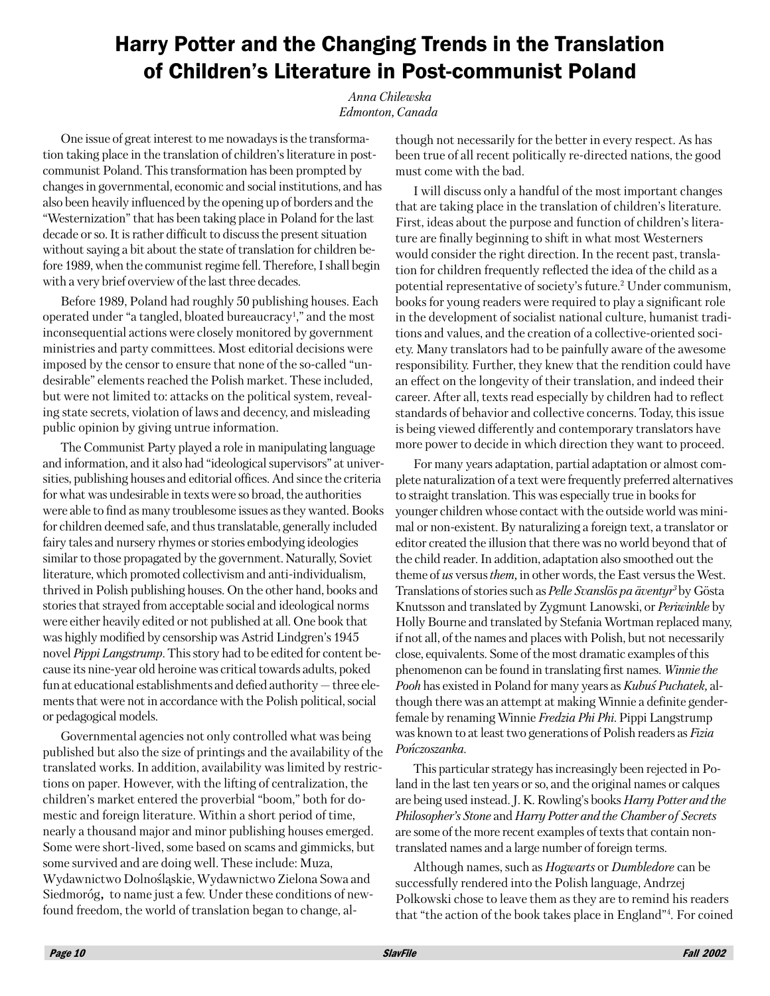### **Harry Potter and the Changing Trends in the Translation** of Children's Literature in Post-communist Poland

#### Anna Chilewska Edmonton, Canada

One issue of great interest to me nowadays is the transformation taking place in the translation of children's literature in postcommunist Poland. This transformation has been prompted by changes in governmental, economic and social institutions, and has also been heavily influenced by the opening up of borders and the "Westernization" that has been taking place in Poland for the last decade or so. It is rather difficult to discuss the present situation without saying a bit about the state of translation for children before 1989, when the communist regime fell. Therefore, I shall begin with a very brief overview of the last three decades.

Before 1989, Poland had roughly 50 publishing houses. Each operated under "a tangled, bloated bureaucracy<sup>1</sup>," and the most inconsequential actions were closely monitored by government ministries and party committees. Most editorial decisions were imposed by the censor to ensure that none of the so-called "undesirable" elements reached the Polish market. These included, but were not limited to: attacks on the political system, revealing state secrets, violation of laws and decency, and misleading public opinion by giving untrue information.

The Communist Party played a role in manipulating language and information, and it also had "ideological supervisors" at universities, publishing houses and editorial offices. And since the criteria for what was undesirable in texts were so broad, the authorities were able to find as many troublesome issues as they wanted. Books for children deemed safe, and thus translatable, generally included fairy tales and nursery rhymes or stories embodying ideologies similar to those propagated by the government. Naturally, Soviet literature, which promoted collectivism and anti-individualism, thrived in Polish publishing houses. On the other hand, books and stories that strayed from acceptable social and ideological norms were either heavily edited or not published at all. One book that was highly modified by censorship was Astrid Lindgren's 1945 novel *Pippi Langstrump*. This story had to be edited for content because its nine-year old heroine was critical towards adults, poked fun at educational establishments and defied authority - three elements that were not in accordance with the Polish political, social or pedagogical models.

Governmental agencies not only controlled what was being published but also the size of printings and the availability of the translated works. In addition, availability was limited by restrictions on paper. However, with the lifting of centralization, the children's market entered the proverbial "boom," both for domestic and foreign literature. Within a short period of time, nearly a thousand major and minor publishing houses emerged. Some were short-lived, some based on scams and gimmicks, but some survived and are doing well. These include: Muza, Wydawnictwo Dolnośląskie, Wydawnictwo Zielona Sowa and Siedmoróg, to name just a few. Under these conditions of newfound freedom, the world of translation began to change, although not necessarily for the better in every respect. As has been true of all recent politically re-directed nations, the good must come with the bad.

I will discuss only a handful of the most important changes that are taking place in the translation of children's literature. First, ideas about the purpose and function of children's literature are finally beginning to shift in what most Westerners would consider the right direction. In the recent past, translation for children frequently reflected the idea of the child as a potential representative of society's future.<sup>2</sup> Under communism, books for young readers were required to play a significant role in the development of socialist national culture, humanist traditions and values, and the creation of a collective-oriented society. Many translators had to be painfully aware of the awesome responsibility. Further, they knew that the rendition could have an effect on the longevity of their translation, and indeed their career. After all, texts read especially by children had to reflect standards of behavior and collective concerns. Today, this issue is being viewed differently and contemporary translators have more power to decide in which direction they want to proceed.

For many years adaptation, partial adaptation or almost complete naturalization of a text were frequently preferred alternatives to straight translation. This was especially true in books for younger children whose contact with the outside world was minimal or non-existent. By naturalizing a foreign text, a translator or editor created the illusion that there was no world beyond that of the child reader. In addition, adaptation also smoothed out the theme of us versus them, in other words, the East versus the West. Translations of stories such as *Pelle Svanslös pa äventyr*<sup>3</sup> by Gösta Knutsson and translated by Zygmunt Lanowski, or *Periwinkle* by Holly Bourne and translated by Stefania Wortman replaced many, if not all, of the names and places with Polish, but not necessarily close, equivalents. Some of the most dramatic examples of this phenomenon can be found in translating first names. Winnie the Pooh has existed in Poland for many years as Kubus Puchatek, although there was an attempt at making Winnie a definite genderfemale by renaming Winnie Fredzia Phi Phi. Pippi Langstrump was known to at least two generations of Polish readers as Fizia Pończoszanka.

This particular strategy has increasingly been rejected in Poland in the last ten years or so, and the original names or calques are being used instead. J. K. Rowling's books Harry Potter and the Philosopher's Stone and Harry Potter and the Chamber of Secrets are some of the more recent examples of texts that contain nontranslated names and a large number of foreign terms.

Although names, such as *Hogwarts* or *Dumbledore* can be successfully rendered into the Polish language, Andrzej Polkowski chose to leave them as they are to remind his readers that "the action of the book takes place in England"<sup>4</sup>. For coined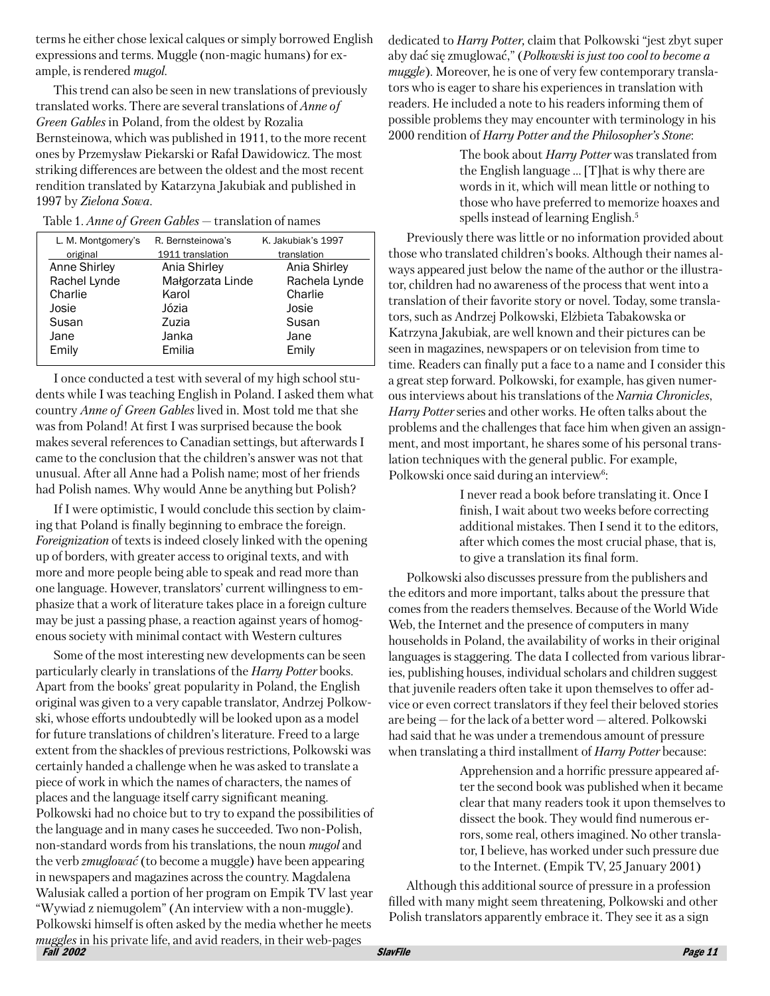terms he either chose lexical calques or simply borrowed English expressions and terms. Muggle (non-magic humans) for example, is rendered *mugol*.

This trend can also be seen in new translations of previously translated works. There are several translations of *Anne of* Green Gables in Poland, from the oldest by Rozalia Bernsteinowa, which was published in 1911, to the more recent ones by Przemysław Piekarski or Rafał Dawidowicz. The most striking differences are between the oldest and the most recent rendition translated by Katarzyna Jakubiak and published in 1997 by Zielona Sowa.

| L. M. Montgomery's | R. Bernsteinowa's | K. Jakubiak's 1997 |
|--------------------|-------------------|--------------------|
| original           | 1911 translation  | translation        |
| Anne Shirley       | Ania Shirley      | Ania Shirley       |
| Rachel Lynde       | Małgorzata Linde  | Rachela Lynde      |
| Charlie            | Karol             | Charlie            |
| Josie              | Józia             | Josie              |
| Susan              | Zuzia             | Susan              |
| Jane               | Janka             | Jane               |
| Emily              | Emilia            | Emily              |

I once conducted a test with several of my high school students while I was teaching English in Poland. I asked them what country *Anne of Green Gables* lived in. Most told me that she was from Poland! At first I was surprised because the book makes several references to Canadian settings, but afterwards I came to the conclusion that the children's answer was not that unusual. After all Anne had a Polish name; most of her friends had Polish names. Why would Anne be anything but Polish?

If I were optimistic, I would conclude this section by claiming that Poland is finally beginning to embrace the foreign. Foreignization of texts is indeed closely linked with the opening up of borders, with greater access to original texts, and with more and more people being able to speak and read more than one language. However, translators' current willingness to emphasize that a work of literature takes place in a foreign culture may be just a passing phase, a reaction against years of homogenous society with minimal contact with Western cultures

Some of the most interesting new developments can be seen particularly clearly in translations of the *Harry Potter* books. Apart from the books' great popularity in Poland, the English original was given to a very capable translator, Andrzej Polkowski, whose efforts undoubtedly will be looked upon as a model for future translations of children's literature. Freed to a large extent from the shackles of previous restrictions, Polkowski was certainly handed a challenge when he was asked to translate a piece of work in which the names of characters, the names of places and the language itself carry significant meaning. Polkowski had no choice but to try to expand the possibilities of the language and in many cases he succeeded. Two non-Polish, non-standard words from his translations, the noun *mugol* and the verb *zmuglować* (to become a muggle) have been appearing in newspapers and magazines across the country. Magdalena Walusiak called a portion of her program on Empik TV last year "Wywiad z niemugolem" (An interview with a non-muggle). Polkowski himself is often asked by the media whether he meets *muggles* in his private life, and avid readers, in their web-pages  $F\ddot{a}H$  2002

dedicated to *Harry Potter*, claim that Polkowski "jest zbyt super aby dać się zmuglować," (Polkowski is just too cool to become a *muggle*). Moreover, he is one of very few contemporary translators who is eager to share his experiences in translation with readers. He included a note to his readers informing them of possible problems they may encounter with terminology in his 2000 rendition of *Harry Potter and the Philosopher's Stone*:

> The book about *Harry Potter* was translated from the English language ... [T] hat is why there are words in it, which will mean little or nothing to those who have preferred to memorize hoaxes and spells instead of learning English.<sup>5</sup>

Previously there was little or no information provided about those who translated children's books. Although their names always appeared just below the name of the author or the illustrator, children had no awareness of the process that went into a translation of their favorite story or novel. Today, some translators, such as Andrzej Polkowski, Elżbieta Tabakowska or Katrzyna Jakubiak, are well known and their pictures can be seen in magazines, newspapers or on television from time to time. Readers can finally put a face to a name and I consider this a great step forward. Polkowski, for example, has given numerous interviews about his translations of the Narnia Chronicles, *Harry Potter* series and other works. He often talks about the problems and the challenges that face him when given an assignment, and most important, he shares some of his personal translation techniques with the general public. For example, Polkowski once said during an interview<sup>6</sup>:

> I never read a book before translating it. Once I finish, I wait about two weeks before correcting additional mistakes. Then I send it to the editors, after which comes the most crucial phase, that is, to give a translation its final form.

Polkowski also discusses pressure from the publishers and the editors and more important, talks about the pressure that comes from the readers themselves. Because of the World Wide Web, the Internet and the presence of computers in many households in Poland, the availability of works in their original languages is staggering. The data I collected from various libraries, publishing houses, individual scholars and children suggest that juvenile readers often take it upon themselves to offer advice or even correct translators if they feel their beloved stories are being  $-$  for the lack of a better word  $-$  altered. Polkowski had said that he was under a tremendous amount of pressure when translating a third installment of *Harry Potter* because:

> Apprehension and a horrific pressure appeared after the second book was published when it became clear that many readers took it upon themselves to dissect the book. They would find numerous errors, some real, others imagined. No other translator, I believe, has worked under such pressure due to the Internet. (Empik TV, 25 January 2001)

Although this additional source of pressure in a profession filled with many might seem threatening, Polkowski and other Polish translators apparently embrace it. They see it as a sign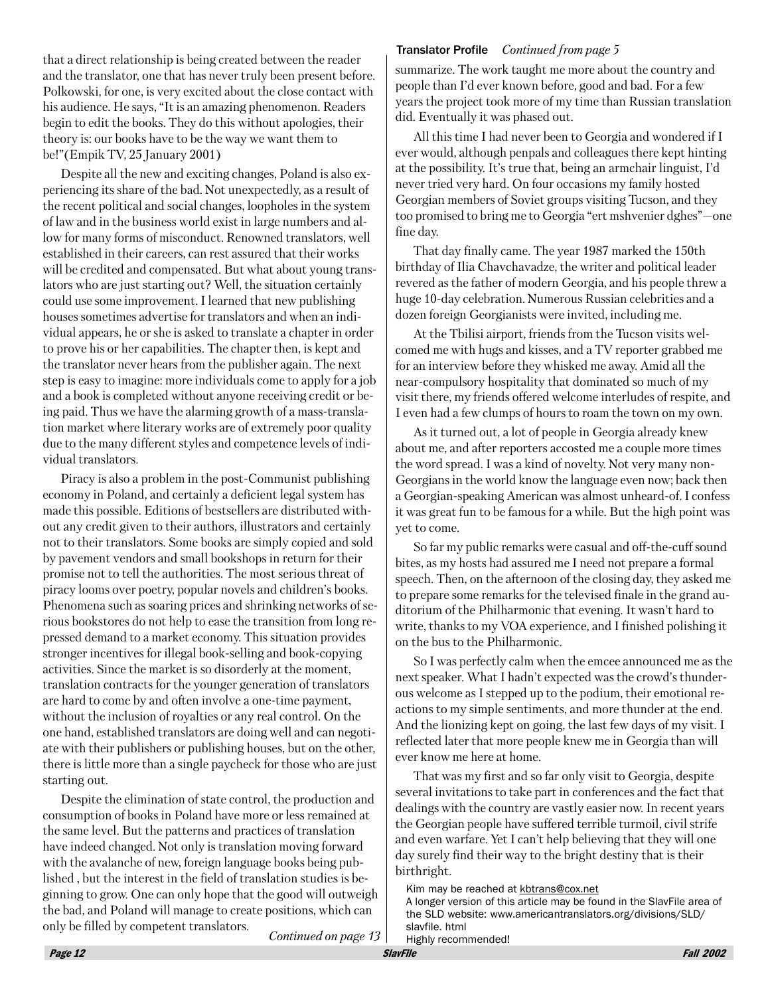that a direct relationship is being created between the reader and the translator, one that has never truly been present before. Polkowski, for one, is very excited about the close contact with his audience. He says, "It is an amazing phenomenon. Readers begin to edit the books. They do this without apologies, their theory is: our books have to be the way we want them to be!"(Empik TV,  $25$  January  $2001$ )

Despite all the new and exciting changes, Poland is also experiencing its share of the bad. Not unexpectedly, as a result of the recent political and social changes, loopholes in the system of law and in the business world exist in large numbers and allow for many forms of misconduct. Renowned translators, well established in their careers, can rest assured that their works will be credited and compensated. But what about young translators who are just starting out? Well, the situation certainly could use some improvement. I learned that new publishing houses sometimes advertise for translators and when an individual appears, he or she is asked to translate a chapter in order to prove his or her capabilities. The chapter then, is kept and the translator never hears from the publisher again. The next step is easy to imagine: more individuals come to apply for a job and a book is completed without anyone receiving credit or being paid. Thus we have the alarming growth of a mass-translation market where literary works are of extremely poor quality due to the many different styles and competence levels of individual translators.

Piracy is also a problem in the post-Communist publishing economy in Poland, and certainly a deficient legal system has made this possible. Editions of bestsellers are distributed without any credit given to their authors, illustrators and certainly not to their translators. Some books are simply copied and sold by pavement vendors and small bookshops in return for their promise not to tell the authorities. The most serious threat of piracy looms over poetry, popular novels and children's books. Phenomena such as soaring prices and shrinking networks of serious bookstores do not help to ease the transition from long repressed demand to a market economy. This situation provides stronger incentives for illegal book-selling and book-copying activities. Since the market is so disorderly at the moment, translation contracts for the younger generation of translators are hard to come by and often involve a one-time payment, without the inclusion of royalties or any real control. On the one hand, established translators are doing well and can negotiate with their publishers or publishing houses, but on the other, there is little more than a single paycheck for those who are just starting out.

Despite the elimination of state control, the production and consumption of books in Poland have more or less remained at the same level. But the patterns and practices of translation have indeed changed. Not only is translation moving forward with the avalanche of new, foreign language books being published, but the interest in the field of translation studies is beginning to grow. One can only hope that the good will outweigh the bad, and Poland will manage to create positions, which can only be filled by competent translators.

**Translator Profile** Continued from page 5

summarize. The work taught me more about the country and people than I'd ever known before, good and bad. For a few years the project took more of my time than Russian translation did. Eventually it was phased out.

All this time I had never been to Georgia and wondered if I ever would, although penpals and colleagues there kept hinting at the possibility. It's true that, being an armchair linguist, I'd never tried very hard. On four occasions my family hosted Georgian members of Soviet groups visiting Tucson, and they too promised to bring me to Georgia "ert mshvenier dghes"—one fine day.

That day finally came. The year 1987 marked the 150th birthday of Ilia Chavchavadze, the writer and political leader revered as the father of modern Georgia, and his people threw a huge 10-day celebration. Numerous Russian celebrities and a dozen foreign Georgianists were invited, including me.

At the Tbilisi airport, friends from the Tucson visits welcomed me with hugs and kisses, and a TV reporter grabbed me for an interview before they whisked me away. Amid all the near-compulsory hospitality that dominated so much of my visit there, my friends offered welcome interludes of respite, and I even had a few clumps of hours to roam the town on my own.

As it turned out, a lot of people in Georgia already knew about me, and after reporters accosted me a couple more times the word spread. I was a kind of novelty. Not very many non-Georgians in the world know the language even now; back then a Georgian-speaking American was almost unheard-of. I confess it was great fun to be famous for a while. But the high point was yet to come.

So far my public remarks were casual and off-the-cuff sound bites, as my hosts had assured me I need not prepare a formal speech. Then, on the afternoon of the closing day, they asked me to prepare some remarks for the televised finale in the grand auditorium of the Philharmonic that evening. It wasn't hard to write, thanks to my VOA experience, and I finished polishing it on the bus to the Philharmonic.

So I was perfectly calm when the emcee announced me as the next speaker. What I hadn't expected was the crowd's thunderous welcome as I stepped up to the podium, their emotional reactions to my simple sentiments, and more thunder at the end. And the lionizing kept on going, the last few days of my visit. I reflected later that more people knew me in Georgia than will ever know me here at home.

That was my first and so far only visit to Georgia, despite several invitations to take part in conferences and the fact that dealings with the country are vastly easier now. In recent years the Georgian people have suffered terrible turmoil, civil strife and even warfare. Yet I can't help believing that they will one day surely find their way to the bright destiny that is their birthright.

Kim may be reached at kbtrans@cox.net

A longer version of this article may be found in the SlavFile area of the SLD website: www.americantranslators.org/divisions/SLD/ slavfile. html Highly recommended!

Continued on page 13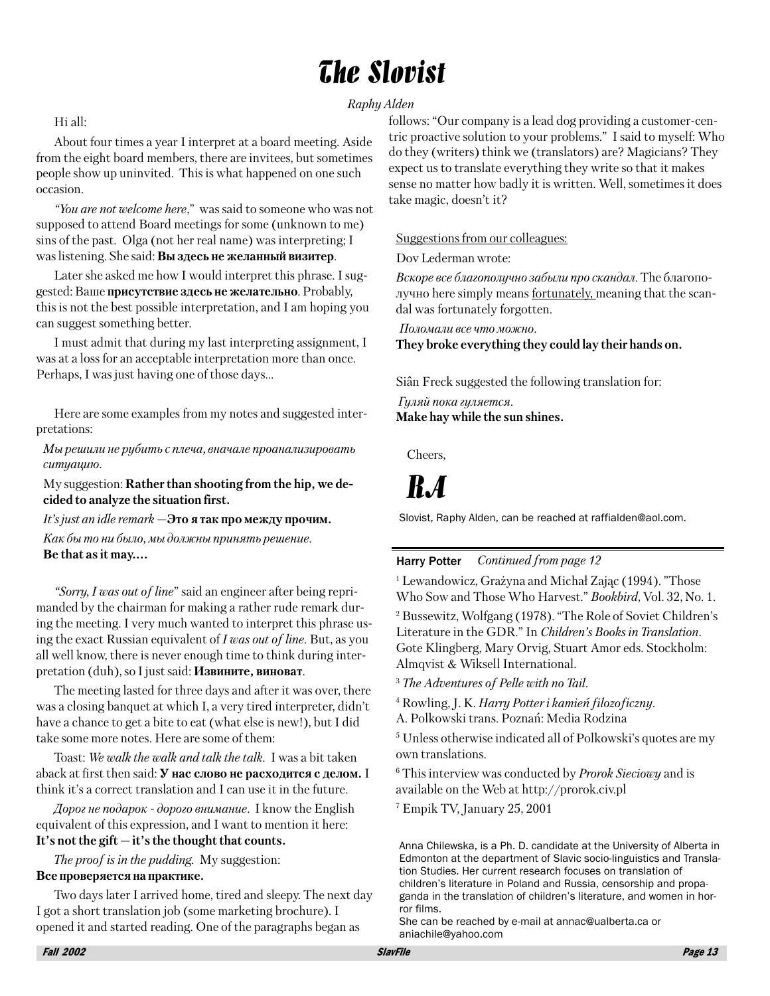## **The Slovist**

#### Hi all:

About four times a year I interpret at a board meeting. Aside from the eight board members, there are invitees, but sometimes people show up uninvited. This is what happened on one such occasion.

"You are not welcome here," was said to someone who was not supposed to attend Board meetings for some (unknown to me) sins of the past. Olga (not her real name) was interpreting; I was listening. She said: Вы здесь не желанный визитер.

Later she asked me how I would interpret this phrase. I suggested: Ваше присутствие здесь не желательно. Probably, this is not the best possible interpretation, and I am hoping you can suggest something better.

I must admit that during my last interpreting assignment, I was at a loss for an acceptable interpretation more than once. Perhaps, I was just having one of those days...

Here are some examples from my notes and suggested interpretations:

Мы решили не рубить с плеча, вначале проанализировать ситуацию.

My suggestion: **Rather than shooting from the hip, we de**cided to analyze the situation first.

It's just an idle remark  $-$ Это я так про между прочим.

Как бы то ни было, мы должны принять решение. Be that as it may....

"Sorry, I was out of line" said an engineer after being reprimanded by the chairman for making a rather rude remark during the meeting. I very much wanted to interpret this phrase using the exact Russian equivalent of  $I$  was out of line. But, as you all well know, there is never enough time to think during interpretation (duh), so I just said: Извините, виноват.

The meeting lasted for three days and after it was over, there was a closing banquet at which I, a very tired interpreter, didn't have a chance to get a bite to eat (what else is new!), but I did take some more notes. Here are some of them:

Toast: We walk the walk and talk the talk. I was a bit taken aback at first then said: **У нас слово не расходится с делом.** I think it's a correct translation and I can use it in the future.

Дорог не подарок - дорого внимание. I know the English equivalent of this expression, and I want to mention it here: It's not the gift  $-$  it's the thought that counts.

*The proof is in the pudding.* My suggestion: Все проверяется на практике.

Two days later I arrived home, tired and sleepy. The next day I got a short translation job (some marketing brochure). I opened it and started reading. One of the paragraphs began as

Raphy Alden

follows: "Our company is a lead dog providing a customer-centric proactive solution to your problems." I said to myself: Who do they (writers) think we (translators) are? Magicians? They expect us to translate everything they write so that it makes sense no matter how badly it is written. Well, sometimes it does take magic, doesn't it?

#### Suggestions from our colleagues:

Dov Lederman wrote:

Вскоре все благополучно забыли про скандал. The благополучно here simply means fortunately, meaning that the scandal was fortunately forgotten.

Поломали все что можно. They broke everything they could lay their hands on.

Siân Freck suggested the following translation for:

Гуляй пока гуляется. Make hay while the sun shines.

Cheers.

## $R.A$

Slovist, Raphy Alden, can be reached at raffialden@aol.com.

#### Continued from page 12 **Harry Potter**

<sup>1</sup> Lewandowicz, Grażyna and Michał Zając (1994). "Those Who Sow and Those Who Harvest." Bookbird, Vol. 32, No. 1.

<sup>2</sup> Bussewitz, Wolfgang (1978). "The Role of Soviet Children's Literature in the GDR." In Children's Books in Translation. Gote Klingberg, Mary Orvig, Stuart Amor eds. Stockholm: Almqvist & Wiksell International.

<sup>3</sup> The Adventures of Pelle with no Tail.

<sup>4</sup> Rowling, J. K. Harry Potter i kamień filozoficzny.

A. Polkowski trans. Poznań: Media Rodzina

<sup>5</sup> Unless otherwise indicated all of Polkowski's quotes are my own translations.

<sup>6</sup> This interview was conducted by *Prorok Sieciowy* and is available on the Web at http://prorok.civ.pl

<sup>7</sup> Empik TV, January 25, 2001

Anna Chilewska, is a Ph. D. candidate at the University of Alberta in Edmonton at the department of Slavic socio-linguistics and Translation Studies. Her current research focuses on translation of children's literature in Poland and Russia, censorship and propaganda in the translation of children's literature, and women in horror films.

She can be reached by e-mail at annac@ualberta.ca or aniachile@yahoo.com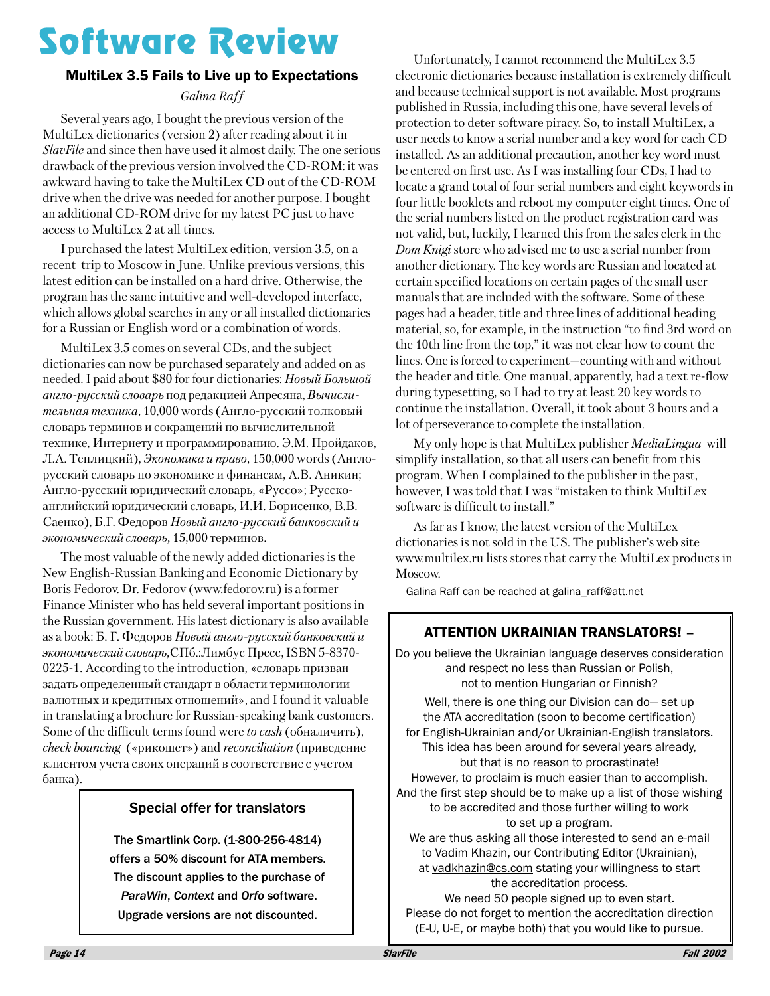# **Software Review**

#### **MultiLex 3.5 Fails to Live up to Expectations**

Galina Raff

Several years ago, I bought the previous version of the MultiLex dictionaries (version 2) after reading about it in *SlavFile* and since then have used it almost daily. The one serious drawback of the previous version involved the CD-ROM: it was awkward having to take the MultiLex CD out of the CD-ROM drive when the drive was needed for another purpose. I bought an additional CD-ROM drive for my latest PC just to have access to MultiLex 2 at all times.

I purchased the latest MultiLex edition, version 3.5, on a recent trip to Moscow in June. Unlike previous versions, this latest edition can be installed on a hard drive. Otherwise, the program has the same intuitive and well-developed interface, which allows global searches in any or all installed dictionaries for a Russian or English word or a combination of words.

MultiLex 3.5 comes on several CDs, and the subject dictionaries can now be purchased separately and added on as needed. I paid about \$80 for four dictionaries: Новый Большой англо-русский словарь под редакцией Апресяна, Вычисли*тельная техника*, 10,000 words (Англо-русский толковый словарь терминов и сокращений по вычислительной технике, Интернету и программированию. Э.М. Пройдаков, Л.А. Теплицкий), Экономика и право, 150,000 words (Англорусский словарь по экономике и финансам, А.В. Аникин; Англо-русский юридический словарь, «Руссо»; Русскоанглийский юридический словарь, И.И. Борисенко, В.В. Саенко), Б.Г. Федоров Новый англо-русский банковский и экономический словарь, 15,000 терминов.

The most valuable of the newly added dictionaries is the New English-Russian Banking and Economic Dictionary by Boris Fedorov. Dr. Fedorov (www.fedorov.ru) is a former Finance Minister who has held several important positions in the Russian government. His latest dictionary is also available as a book: Б. Г. Федоров Новый англо-русский банковский и экономический словарь, СПб.: Лимбус Пресс, ISBN 5-8370-0225-1. According to the introduction, «словарь призван задать определенный стандарт в области терминологии валютных и кредитных отношений», and I found it valuable in translating a brochure for Russian-speaking bank customers. Some of the difficult terms found were to cash (обналичить), *check bouncing* («рикошет») and *reconciliation* (приведение клиентом учета своих операций в соответствие с учетом банка).

#### **Special offer for translators**

The Smartlink Corp. (1-800-256-4814) offers a 50% discount for ATA members. The discount applies to the purchase of ParaWin, Context and Orfo software. Upgrade versions are not discounted.

Unfortunately, I cannot recommend the MultiLex 3.5 electronic dictionaries because installation is extremely difficult and because technical support is not available. Most programs published in Russia, including this one, have several levels of protection to deter software piracy. So, to install MultiLex, a user needs to know a serial number and a key word for each CD installed. As an additional precaution, another key word must be entered on first use. As I was installing four CDs, I had to locate a grand total of four serial numbers and eight keywords in four little booklets and reboot my computer eight times. One of the serial numbers listed on the product registration card was not valid, but, luckily, I learned this from the sales clerk in the Dom Knigi store who advised me to use a serial number from another dictionary. The key words are Russian and located at certain specified locations on certain pages of the small user manuals that are included with the software. Some of these pages had a header, title and three lines of additional heading material, so, for example, in the instruction "to find 3rd word on the 10th line from the top," it was not clear how to count the lines. One is forced to experiment—counting with and without the header and title. One manual, apparently, had a text re-flow during typesetting, so I had to try at least 20 key words to continue the installation. Overall, it took about 3 hours and a lot of perseverance to complete the installation.

My only hope is that MultiLex publisher *MediaLingua* will simplify installation, so that all users can benefit from this program. When I complained to the publisher in the past, however, I was told that I was "mistaken to think MultiLex software is difficult to install"

As far as I know, the latest version of the MultiLex dictionaries is not sold in the US. The publisher's web site www.multilex.ru lists stores that carry the MultiLex products in Moscow.

Galina Raff can be reached at galina raff@att.net

#### **ATTENTION UKRAINIAN TRANSLATORS! -**

Do you believe the Ukrainian language deserves consideration and respect no less than Russian or Polish, not to mention Hungarian or Finnish?

Well, there is one thing our Division can do-set up the ATA accreditation (soon to become certification) for English-Ukrainian and/or Ukrainian-English translators. This idea has been around for several years already, but that is no reason to procrastinate! However, to proclaim is much easier than to accomplish. And the first step should be to make up a list of those wishing to be accredited and those further willing to work to set up a program.

We are thus asking all those interested to send an e-mail to Vadim Khazin, our Contributing Editor (Ukrainian), at vadkhazin@cs.com stating your willingness to start the accreditation process.

We need 50 people signed up to even start. Please do not forget to mention the accreditation direction (E-U, U-E, or maybe both) that you would like to pursue.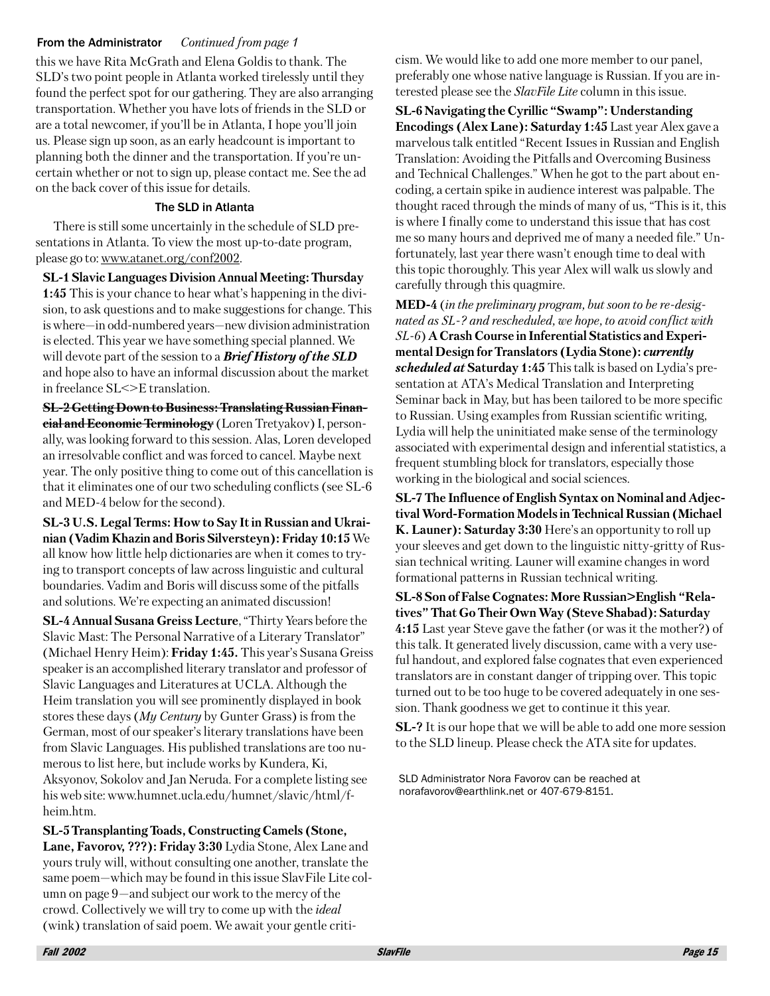#### Continued from page 1 From the Administrator

this we have Rita McGrath and Elena Goldis to thank. The SLD's two point people in Atlanta worked tirelessly until they found the perfect spot for our gathering. They are also arranging transportation. Whether you have lots of friends in the SLD or are a total newcomer, if you'll be in Atlanta, I hope you'll join us. Please sign up soon, as an early headcount is important to planning both the dinner and the transportation. If you're uncertain whether or not to sign up, please contact me. See the ad on the back cover of this issue for details.

#### The SLD in Atlanta

There is still some uncertainly in the schedule of SLD presentations in Atlanta. To view the most up-to-date program, please go to: www.atanet.org/conf2002.

**SL-1 Slavic Languages Division Annual Meeting: Thursday 1:45** This is your chance to hear what's happening in the division, to ask questions and to make suggestions for change. This is where—in odd-numbered years—new division administration is elected. This year we have something special planned. We will devote part of the session to a **Brief History of the SLD** and hope also to have an informal discussion about the market in freelance SL<>E translation.

**SL-2 Getting Down to Business: Translating Russian Finan**cial and Economic Terminology (Loren Tretyakov) I, personally, was looking forward to this session. Alas, Loren developed an irresolvable conflict and was forced to cancel. Maybe next year. The only positive thing to come out of this cancellation is that it eliminates one of our two scheduling conflicts (see SL-6 and MED-4 below for the second).

SL-3 U.S. Legal Terms: How to Say It in Russian and Ukrainian (Vadim Khazin and Boris Silversteyn): Friday 10:15 We all know how little help dictionaries are when it comes to trying to transport concepts of law across linguistic and cultural boundaries. Vadim and Boris will discuss some of the pitfalls and solutions. We're expecting an animated discussion!

SL-4 Annual Susana Greiss Lecture, "Thirty Years before the Slavic Mast: The Personal Narrative of a Literary Translator" (Michael Henry Heim): Friday 1:45. This year's Susana Greiss speaker is an accomplished literary translator and professor of Slavic Languages and Literatures at UCLA. Although the Heim translation you will see prominently displayed in book stores these days ( $My$  Century by Gunter Grass) is from the German, most of our speaker's literary translations have been from Slavic Languages. His published translations are too numerous to list here, but include works by Kundera, Ki, Aksyonov, Sokolov and Jan Neruda. For a complete listing see his web site: www.humnet.ucla.edu/humnet/slavic/html/fheim.htm.

SL-5 Transplanting Toads, Constructing Camels (Stone, Lane, Favorov, ???): Friday 3:30 Lydia Stone, Alex Lane and yours truly will, without consulting one another, translate the same poem—which may be found in this issue SlavFile Lite column on page  $9$ —and subject our work to the mercy of the crowd. Collectively we will try to come up with the *ideal* (wink) translation of said poem. We await your gentle criticism. We would like to add one more member to our panel, preferably one whose native language is Russian. If you are interested please see the *SlavFile Lite* column in this issue.

SL-6 Navigating the Cyrillic "Swamp": Understanding Encodings (Alex Lane): Saturday 1:45 Last year Alex gave a marvelous talk entitled "Recent Issues in Russian and English Translation: Avoiding the Pitfalls and Overcoming Business and Technical Challenges." When he got to the part about encoding, a certain spike in audience interest was palpable. The thought raced through the minds of many of us, "This is it, this is where I finally come to understand this issue that has cost me so many hours and deprived me of many a needed file." Unfortunately, last year there wasn't enough time to deal with this topic thoroughly. This year Alex will walk us slowly and carefully through this quagmire.

**MED-4** (in the preliminary program, but soon to be re-designated as SL-? and rescheduled, we hope, to avoid conflict with SL-6) A Crash Course in Inferential Statistics and Experimental Design for Translators (Lydia Stone): currently *scheduled at* Saturday 1:45 This talk is based on Lydia's presentation at ATA's Medical Translation and Interpreting Seminar back in May, but has been tailored to be more specific to Russian. Using examples from Russian scientific writing, Lydia will help the uninitiated make sense of the terminology associated with experimental design and inferential statistics, a frequent stumbling block for translators, especially those working in the biological and social sciences.

SL-7 The Influence of English Syntax on Nominal and Adjectival Word-Formation Models in Technical Russian (Michael **K. Launer): Saturday 3:30** Here's an opportunity to roll up your sleeves and get down to the linguistic nitty-gritty of Russian technical writing. Launer will examine changes in word formational patterns in Russian technical writing.

SL-8 Son of False Cognates: More Russian>English "Relatives" That Go Their Own Way (Steve Shabad): Saturday 4:15 Last year Steve gave the father (or was it the mother?) of this talk. It generated lively discussion, came with a very useful handout, and explored false cognates that even experienced translators are in constant danger of tripping over. This topic turned out to be too huge to be covered adequately in one session. Thank goodness we get to continue it this year.

**SL-?** It is our hope that we will be able to add one more session to the SLD lineup. Please check the ATA site for updates.

SLD Administrator Nora Favorov can be reached at norafavorov@earthlink.net or 407-679-8151.